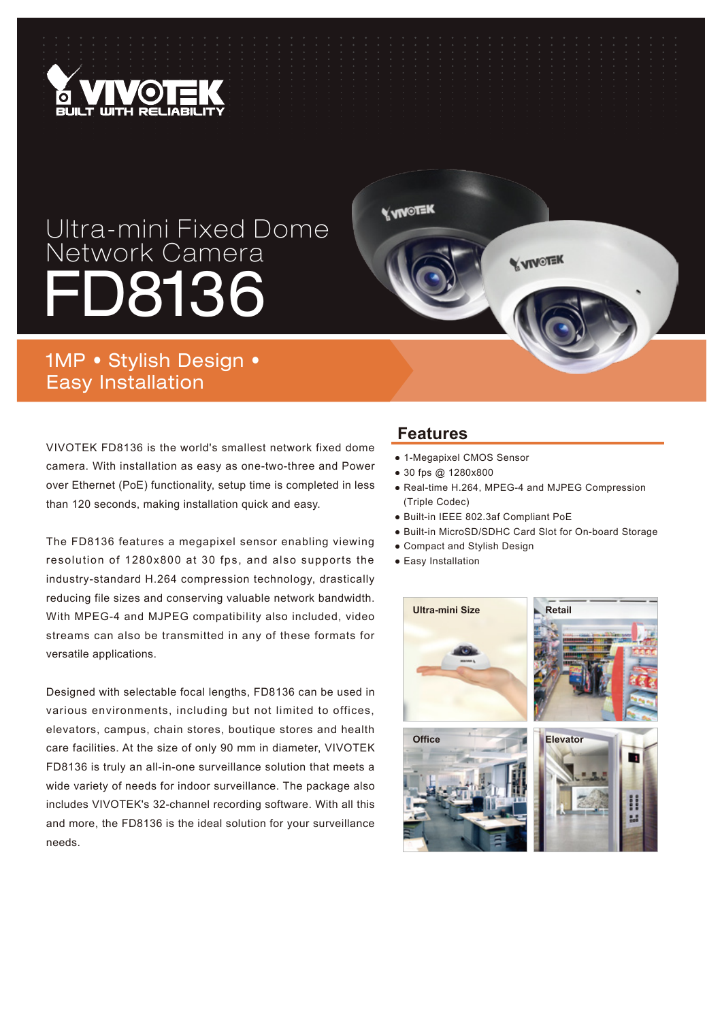

## Ultra-mini Fixed Dome Network Camera D8136

1MP • Stylish Design • Easy Installation

VIVOTEK FD8136 is the world's smallest network fixed dome camera. With installation as easy as one-two-three and Power over Ethernet (PoE) functionality, setup time is completed in less than 120 seconds, making installation quick and easy.

The FD8136 features a megapixel sensor enabling viewing resolution of 1280x800 at 30 fps, and also supports the industry-standard H.264 compression technology, drastically reducing file sizes and conserving valuable network bandwidth. With MPEG-4 and MJPEG compatibility also included, video streams can also be transmitted in any of these formats for versatile applications.

Designed with selectable focal lengths, FD8136 can be used in various environments, including but not limited to offices, elevators, campus, chain stores, boutique stores and health care facilities. At the size of only 90 mm in diameter, VIVOTEK FD8136 is truly an all-in-one surveillance solution that meets a wide variety of needs for indoor surveillance. The package also includes VIVOTEK's 32-channel recording software. With all this and more, the FD8136 is the ideal solution for your surveillance needs.

## **Features**

**Y VINOTEK** 

- 1-Megapixel CMOS Sensor
- 30 fps @ 1280x800
- Real-time H.264, MPEG-4 and MJPEG Compression (Triple Codec)

**V VIVOTEK** 

- Built-in IEEE 802.3af Compliant PoE
- Built-in MicroSD/SDHC Card Slot for On-board Storage
- Compact and Stylish Design
- Easy Installation